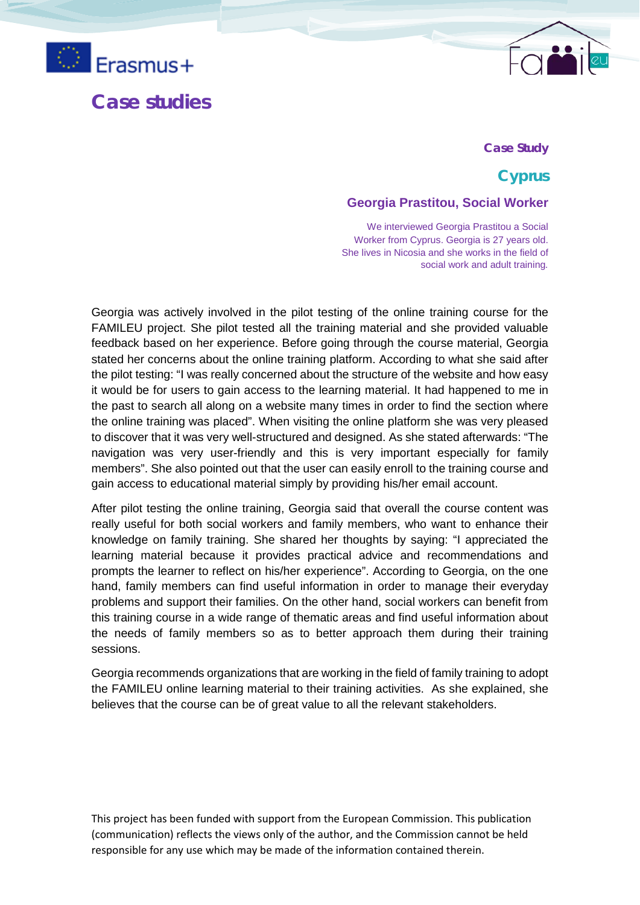

# **Case studies**

#### **Case Study**

# **Cyprus**

#### **Georgia Prastitou, Social Worker**

We interviewed Georgia Prastitou a Social Worker from Cyprus. Georgia is 27 years old. She lives in Nicosia and she works in the field of social work and adult training*.* 

Georgia was actively involved in the pilot testing of the online training course for the FAMILEU project. She pilot tested all the training material and she provided valuable feedback based on her experience. Before going through the course material, Georgia stated her concerns about the online training platform. According to what she said after the pilot testing: "I was really concerned about the structure of the website and how easy it would be for users to gain access to the learning material. It had happened to me in the past to search all along on a website many times in order to find the section where the online training was placed". When visiting the online platform she was very pleased to discover that it was very well-structured and designed. As she stated afterwards: "The navigation was very user-friendly and this is very important especially for family members". She also pointed out that the user can easily enroll to the training course and gain access to educational material simply by providing his/her email account.

After pilot testing the online training, Georgia said that overall the course content was really useful for both social workers and family members, who want to enhance their knowledge on family training. She shared her thoughts by saying: "I appreciated the learning material because it provides practical advice and recommendations and prompts the learner to reflect on his/her experience". According to Georgia, on the one hand, family members can find useful information in order to manage their everyday problems and support their families. On the other hand, social workers can benefit from this training course in a wide range of thematic areas and find useful information about the needs of family members so as to better approach them during their training sessions.

Georgia recommends organizations that are working in the field of family training to adopt the FAMILEU online learning material to their training activities. As she explained, she believes that the course can be of great value to all the relevant stakeholders.

This project has been funded with support from the European Commission. This publication (communication) reflects the views only of the author, and the Commission cannot be held responsible for any use which may be made of the information contained therein.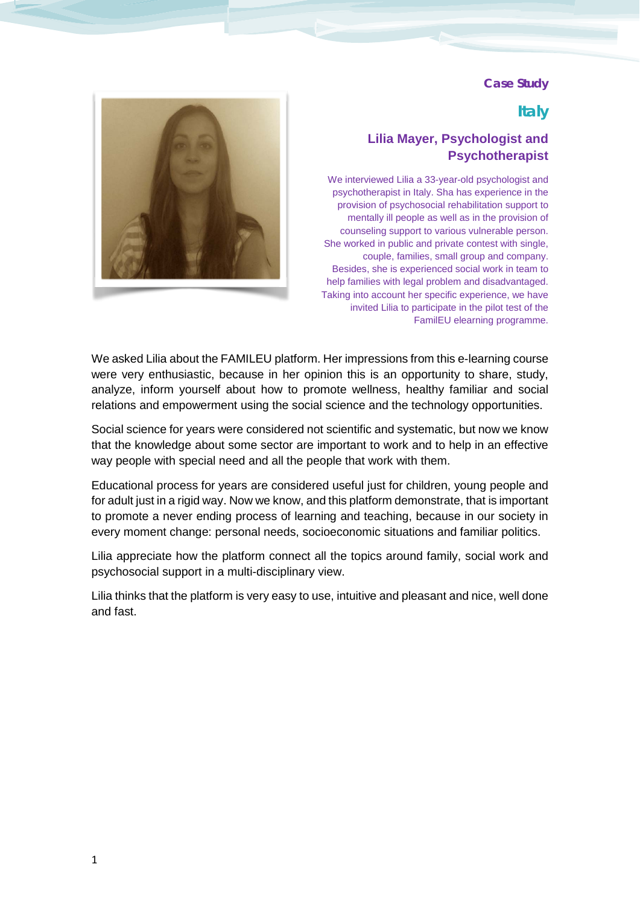# **Italy**

# **Lilia Mayer, Psychologist and Psychotherapist**

We interviewed Lilia a 33-year-old psychologist and psychotherapist in Italy. Sha has experience in the provision of psychosocial rehabilitation support to mentally ill people as well as in the provision of counseling support to various vulnerable person. She worked in public and private contest with single, couple, families, small group and company. Besides, she is experienced social work in team to help families with legal problem and disadvantaged. Taking into account her specific experience, we have invited Lilia to participate in the pilot test of the FamilEU elearning programme.

We asked Lilia about the FAMILEU platform. Her impressions from this e-learning course were very enthusiastic, because in her opinion this is an opportunity to share, study, analyze, inform yourself about how to promote wellness, healthy familiar and social relations and empowerment using the social science and the technology opportunities.

Social science for years were considered not scientific and systematic, but now we know that the knowledge about some sector are important to work and to help in an effective way people with special need and all the people that work with them.

Educational process for years are considered useful just for children, young people and for adult just in a rigid way. Now we know, and this platform demonstrate, that is important to promote a never ending process of learning and teaching, because in our society in every moment change: personal needs, socioeconomic situations and familiar politics.

Lilia appreciate how the platform connect all the topics around family, social work and psychosocial support in a multi-disciplinary view.

Lilia thinks that the platform is very easy to use, intuitive and pleasant and nice, well done and fast.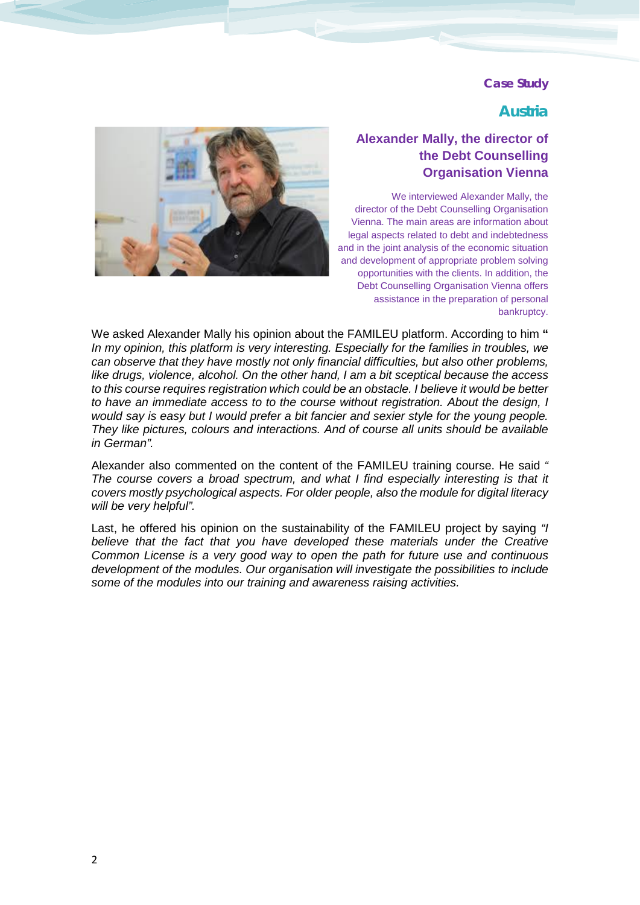### **Austria**



# **Alexander Mally, the director of the Debt Counselling Organisation Vienna**

We interviewed Alexander Mally, the director of the Debt Counselling Organisation Vienna. The main areas are information about legal aspects related to debt and indebtedness and in the joint analysis of the economic situation and development of appropriate problem solving opportunities with the clients. In addition, the Debt Counselling Organisation Vienna offers assistance in the preparation of personal bankruptcy.

We asked Alexander Mally his opinion about the FAMILEU platform. According to him " *In my opinion, this platform is very interesting. Especially for the families in troubles, we can observe that they have mostly not only financial difficulties, but also other problems, like drugs, violence, alcohol. On the other hand, I am a bit sceptical because the access to this course requires registration which could be an obstacle. I believe it would be better to have an immediate access to to the course without registration. About the design, I would say is easy but I would prefer a bit fancier and sexier style for the young people. They like pictures, colours and interactions. And of course all units should be available in German".* 

Alexander also commented on the content of the FAMILEU training course. He said *" The course covers a broad spectrum, and what I find especially interesting is that it covers mostly psychological aspects. For older people, also the module for digital literacy will be very helpful".* 

Last, he offered his opinion on the sustainability of the FAMILEU project by saying *"I*  believe that the fact that you have developed these materials under the Creative *Common License is a very good way to open the path for future use and continuous development of the modules. Our organisation will investigate the possibilities to include some of the modules into our training and awareness raising activities.*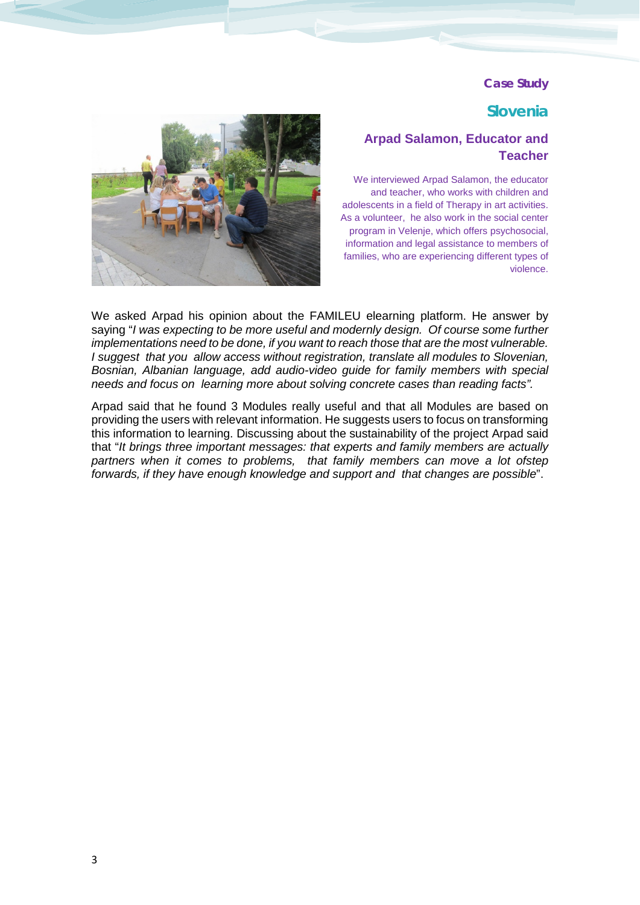### **Slovenia**

## **Arpad Salamon, Educator and Teacher**

We interviewed Arpad Salamon, the educator and teacher, who works with children and adolescents in a field of Therapy in art activities. As a volunteer, he also work in the social center program in Velenje, which offers psychosocial, information and legal assistance to members of families, who are experiencing different types of violence.



We asked Arpad his opinion about the FAMILEU elearning platform. He answer by saying "*I was expecting to be more useful and modernly design. Of course some further implementations need to be done, if you want to reach those that are the most vulnerable. I suggest that you allow access without registration, translate all modules to Slovenian, Bosnian, Albanian language, add audio-video guide for family members with special needs and focus on learning more about solving concrete cases than reading facts".*

Arpad said that he found 3 Modules really useful and that all Modules are based on providing the users with relevant information. He suggests users to focus on transforming this information to learning. Discussing about the sustainability of the project Arpad said that "*It brings three important messages: that experts and family members are actually*  partners when it comes to problems, that family members can move a lot ofstep *forwards, if they have enough knowledge and support and that changes are possible*".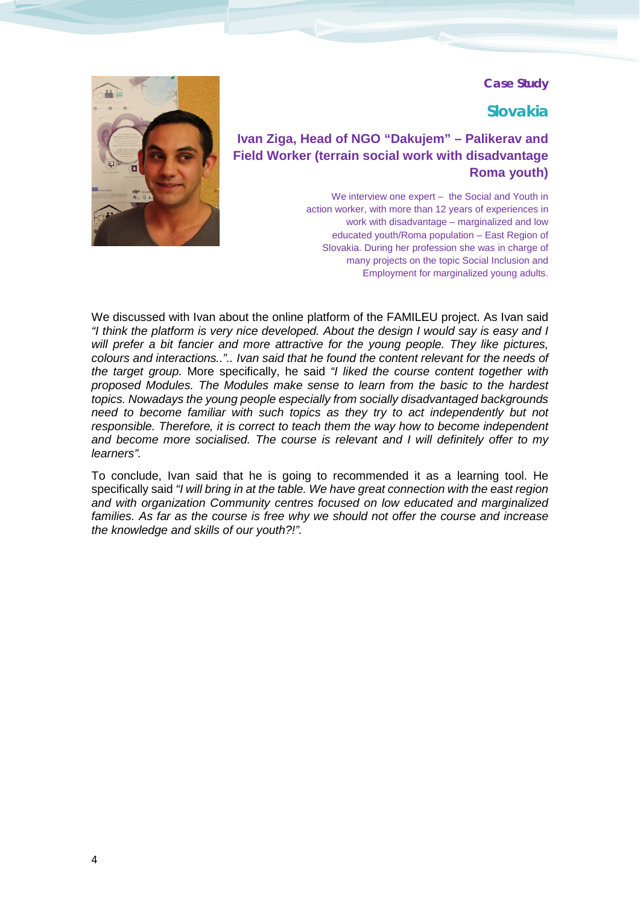# **Slovakia**

# **Ivan Ziga, Head of NGO "Dakujem" – Palikerav and Field Worker (terrain social work with disadvantage Roma youth)**

We interview one expert – the Social and Youth in action worker, with more than 12 years of experiences in work with disadvantage – marginalized and low educated youth/Roma population – East Region of Slovakia. During her profession she was in charge of many projects on the topic Social Inclusion and Employment for marginalized young adults.



We discussed with Ivan about the online platform of the FAMILEU project. As Ivan said *"I think the platform is very nice developed. About the design I would say is easy and I will prefer a bit fancier and more attractive for the young people. They like pictures, colours and interactions..".. Ivan said that he found the content relevant for the needs of the target group.* More specifically, he said *"I liked the course content together with proposed Modules. The Modules make sense to learn from the basic to the hardest topics. Nowadays the young people especially from socially disadvantaged backgrounds need to become familiar with such topics as they try to act independently but not responsible. Therefore, it is correct to teach them the way how to become independent and become more socialised. The course is relevant and I will definitely offer to my learners".* 

To conclude, Ivan said that he is going to recommended it as a learning tool. He specifically said *"I will bring in at the table. We have great connection with the east region and with organization Community centres focused on low educated and marginalized*  families. As far as the course is free why we should not offer the course and increase *the knowledge and skills of our youth?!".*